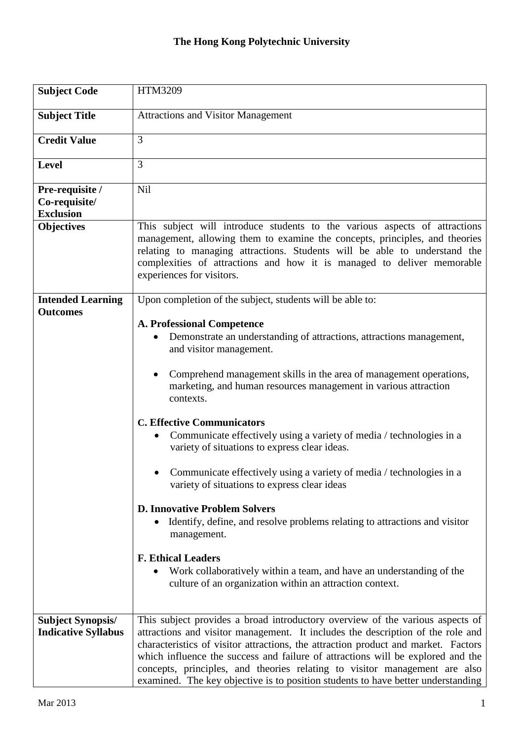## **The Hong Kong Polytechnic University**

| <b>Subject Code</b>                                    | HTM3209                                                                                                                                                                                                                                                                                                                                                                                                                                                                                                                                                                                                                                                                                                               |
|--------------------------------------------------------|-----------------------------------------------------------------------------------------------------------------------------------------------------------------------------------------------------------------------------------------------------------------------------------------------------------------------------------------------------------------------------------------------------------------------------------------------------------------------------------------------------------------------------------------------------------------------------------------------------------------------------------------------------------------------------------------------------------------------|
| <b>Subject Title</b>                                   | <b>Attractions and Visitor Management</b>                                                                                                                                                                                                                                                                                                                                                                                                                                                                                                                                                                                                                                                                             |
| <b>Credit Value</b>                                    | 3                                                                                                                                                                                                                                                                                                                                                                                                                                                                                                                                                                                                                                                                                                                     |
| Level                                                  | 3                                                                                                                                                                                                                                                                                                                                                                                                                                                                                                                                                                                                                                                                                                                     |
| Pre-requisite /<br>Co-requisite/<br><b>Exclusion</b>   | Nil                                                                                                                                                                                                                                                                                                                                                                                                                                                                                                                                                                                                                                                                                                                   |
| <b>Objectives</b>                                      | This subject will introduce students to the various aspects of attractions<br>management, allowing them to examine the concepts, principles, and theories<br>relating to managing attractions. Students will be able to understand the<br>complexities of attractions and how it is managed to deliver memorable<br>experiences for visitors.                                                                                                                                                                                                                                                                                                                                                                         |
| <b>Intended Learning</b><br><b>Outcomes</b>            | Upon completion of the subject, students will be able to:                                                                                                                                                                                                                                                                                                                                                                                                                                                                                                                                                                                                                                                             |
|                                                        | <b>A. Professional Competence</b><br>Demonstrate an understanding of attractions, attractions management,<br>and visitor management.<br>Comprehend management skills in the area of management operations,<br>marketing, and human resources management in various attraction<br>contexts.<br><b>C. Effective Communicators</b><br>Communicate effectively using a variety of media / technologies in a<br>variety of situations to express clear ideas.<br>Communicate effectively using a variety of media / technologies in a<br>variety of situations to express clear ideas<br><b>D. Innovative Problem Solvers</b><br>Identify, define, and resolve problems relating to attractions and visitor<br>management. |
|                                                        | <b>F. Ethical Leaders</b><br>Work collaboratively within a team, and have an understanding of the<br>culture of an organization within an attraction context.                                                                                                                                                                                                                                                                                                                                                                                                                                                                                                                                                         |
| <b>Subject Synopsis/</b><br><b>Indicative Syllabus</b> | This subject provides a broad introductory overview of the various aspects of<br>attractions and visitor management. It includes the description of the role and<br>characteristics of visitor attractions, the attraction product and market. Factors<br>which influence the success and failure of attractions will be explored and the<br>concepts, principles, and theories relating to visitor management are also<br>examined. The key objective is to position students to have better understanding                                                                                                                                                                                                           |